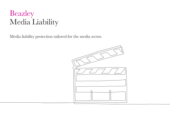# Beazley Media Liability

Media liability protection tailored for the media sector.

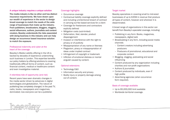## A unique industry requires a unique solution

The media industry is like no other and has distinct insurance requirements. We have drawn upon our wealth of experience in the sector to design broad coverage to match the needs of the wide range of businesses that make up the industry. From publishers, broadcasters, bloggers, vloggers, social influencers, authors, journalists and content creators, Beazley understands the risks associated with doing business in this industry and can help design an occurrence based insurance solution to match the exposure.

## Professional indemnity and cyber at the heart of the coverage

Beazley's Media Liability offering in the US is backed by decades of experience underwriting such business in London. This expertise benefits our policy holders by offering solutions to covering traditionally difficult forms of content, such as financial content, medical or healthcare content and even investigative material.

#### A relentless tide of opportunity (and risk)

<u>lbeazley</u>

Recent years have seen dramatic changes in the media sector driven by advances in digital technologies and globalization. The nature of publishing has completely changed. In the past TV, radio, books, newspapers and magazines, dominated; now everyone can be a publisher.

## Coverage highlights

- Occurrence coverage
- Contractual liability coverage explicitly defined and including unintentional breach of contract in carrying out fee based services for a client
- Coverage for freelancers and contractors explicitly defined
- Mitigation costs (sub-limited)
- Defamation, libel, slander, product disparagement
- Invasion or interference with the right to privacy or of publicity
- Misappropriation of any name or likeness
- Plagiarism, piracy or misappropriation of ideas under implied contract
- Infringement of copyright or trademark
- Infliction of emotional distress or mental anguish caused by content.

#### Optional extensions

- Technology E&O
- Information security and privacy
- Bodily injury or property damage arising out of content.

#### Target market

Beazley specializes in covering small to mid-sized businesses of up to \$35M in revenue that produce all types of content, however and wherever it is disseminated.

A broad range of organizations in this sector can benefit from Beazley's specialist coverage, including:

- Publishing in any form: Books, magazines, newspapers, digital/web
- Broadcasting in any form, including social media channels
	- Content creators including advertising producers
	- Producers of promotional, educational and corporate content
- Blogging, vlogging, podcasting and social influencing
- Content produced by any organization including charities and non-profit organizations
- Authors & journalists
- Content produced by individuals, even if high profile
- Advertising agencies (when occurrence form required).

### Basis of coverage available

- Up to \$5,000,000 limit available
- Worldwide territorial coverage.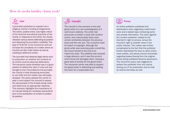## How do media liability claims work?

## $\gg$  Libel

A journalist published an exposé into a religious charity's funding arrangements. The article, posted online, was highly critical of the financial and ethical practices of the charity. In response to the article, the charity released various stories defending its position and attacking the journalist's credibility. This type of 'tit-for-tat' is not uncommon and can increase the complexity of a matter where an insured can feel under attack as well as needing to defend its article.

The journalist had obtained legal advice prior to publication on whether the contents of its article could be deemed defamatory. The insurance carrier therefore was in a good position to defend the claim if a law suit was brought to trial. Fortunately for the journalist, the charity's initial blustering amounted to very little and the matter was ultimately dropped. The policy allowed the carrier to step in and support the insured to assess the seriousness of the threats being made and determine an appropriate response. This scenario highlights the importance of an insured taking the necessary precautions prior to the publication of content to protect its position.

## Copyright

The insured in this scenario is the sole ghost-writer of a new autobiography of a well-known celebrity. The writer had previously co-written a book with another author, and unfortunately there were certain similarities between the previous book and the new one. The co-author sued for beach of copyright. Although the ghost-writer was receiving quite a small fee, she found herself at the end of an indemnity chain. The celebrity had received a large advance, and it was this amount which drove the damages claim, causing a great deal of anxiety for the ghost-writer. The insurance carrier was able to support the ghost-writer in defending and settling the claim for a reasonable sum.

## **Privacy**

An online publisher published and distributed a story regarding a well-known actor and a leaked tape containing some very private information. The claim against the content publisher related to the claimant's right to privacy versus the insured's right to publish news in the public interest. The matter was further complicated by the fact that the publisher further distributed the story to other online news outlets, and issues around warranties regarding losses flowing from the original article being published became paramount. The insurance policy was triggered to protect the publisher from any claims arising out of its publication and to hold its clients harmless as well.